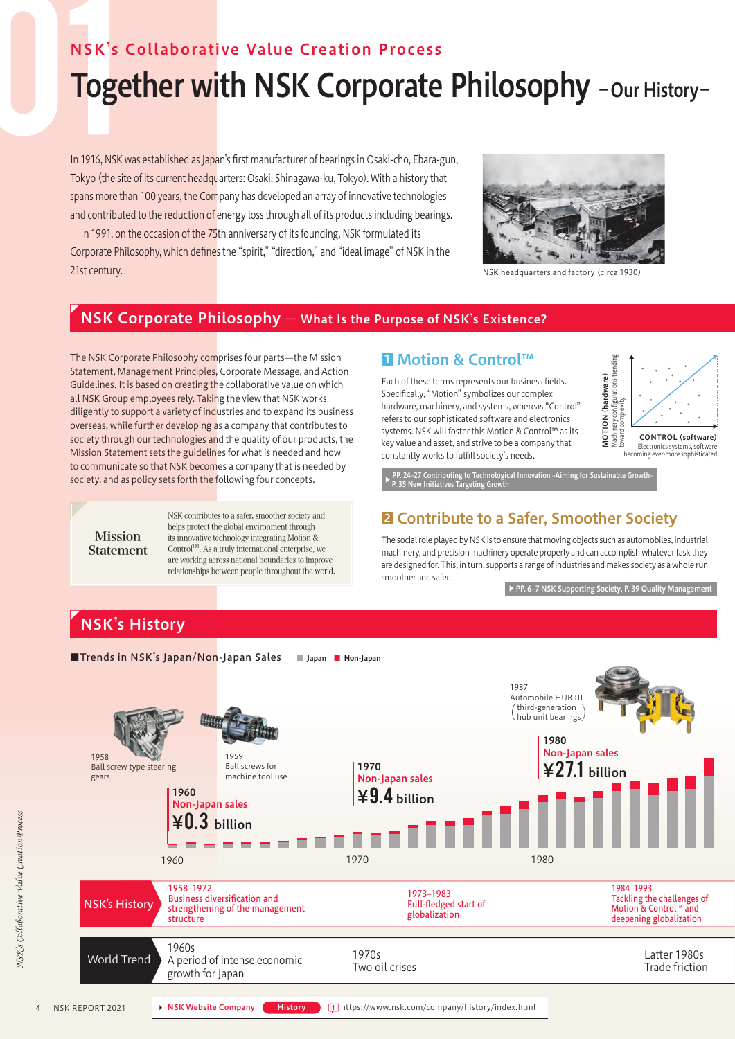## NSK's Collaborative Value Creation Process

# Together with NSK Corporate Philosophy - Our History-

In 1916, NSK was established as Japan's first manufacturer of bearings in Osaki-cho, Ebara-gun, Tokyo (the site of its current headquarters: Osaki, Shinagawa-ku, Tokyo). With a history that spans more than 100 years, the Company has developed an array of innovative technologies and contributed to the reduction of energy loss through all of its products including bearings.

In 1991, on the occasion of the 75th anniversary of its founding, NSK formulated its Corporate Philosophy, which defines the "spirit," "direction," and "ideal image" of NSK in the 21st century. The century of the control of the century of the century of the century of the century of the century of the century of the century of the century of the century of the century of the century of the century o



#### NSK Corporate Philosophy ― What Is the Purpose of NSK's Existence?

The NSK Corporate Philosophy comprises four parts—the Mission Statement, Management Principles, Corporate Message, and Action Guidelines. It is based on creating the collaborative value on which all NSK Group employees rely. Taking the view that NSK works diligently to support a variety of industries and to expand its business overseas, while further developing as a company that contributes to society through our technologies and the quality of our products, the Mission Statement sets the guidelines for what is needed and how to communicate so that NSK becomes a company that is needed by society, and as policy sets forth the following four concepts.



NSK contributes to a safer, smoother society and helps protect the global environment through its innovative technology integrating Motion & Control $T^M$ . As a truly international enterprise, we are working across national boundaries to improve relationships between people throughout the world.

#### ■ Motion & Control™

Each of these terms represents our business fields. Specifically, "Motion" symbolizes our complex hardware, machinery, and systems, whereas "Control" refers to our sophisticated software and electronics systems. NSK will foster this Motion & Control™ as its key value and asset, and strive to be a company that constantly works to fulfill society's needs.



.<br>logical Innovation –Aiming f<u>or Sustainable Growth</u> P. 35 New Initiatives Targeting Growth

#### **2** Contribute to a Safer, Smoother Society

**Statement** The social role played by NSK is to ensure that moving objects such as automobiles, industrial and precision machinery, and precision machinery operate properly and can accomplish whatever task they machinery, are designed for. This, in turn, supports a range of industries and makes society as a whole run smoother and safer.

▶ PP. 6–7 NSK Supporting Society, P. 39 Quality Management

# NSK's History